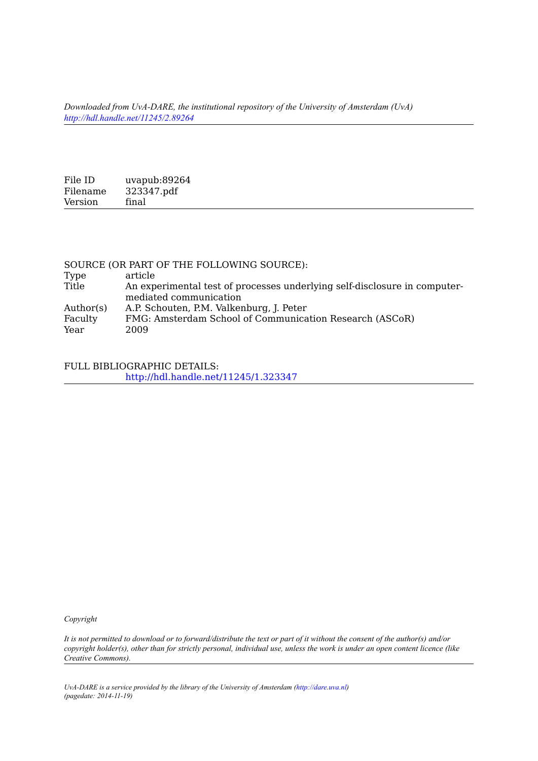*Downloaded from UvA-DARE, the institutional repository of the University of Amsterdam (UvA) <http://hdl.handle.net/11245/2.89264>*

File ID uvapub:89264<br>Filename 323347.pdf  $323347.pdf$ <br>final Version

|           | SOURCE (OR PART OF THE FOLLOWING SOURCE):                                 |
|-----------|---------------------------------------------------------------------------|
| Type      | article                                                                   |
| Title     | An experimental test of processes underlying self-disclosure in computer- |
|           | mediated communication                                                    |
| Author(s) | A.P. Schouten, P.M. Valkenburg, J. Peter                                  |
| Faculty   | FMG: Amsterdam School of Communication Research (ASCoR)                   |
| Year      | 2009                                                                      |

FULL BIBLIOGRAPHIC DETAILS: <http://hdl.handle.net/11245/1.323347>

*Copyright*

*It is not permitted to download or to forward/distribute the text or part of it without the consent of the author(s) and/or copyright holder(s), other than for strictly personal, individual use, unless the work is under an open content licence (like Creative Commons).*

*UvA-DARE is a service provided by the library of the University of Amsterdam ([http://dare.uva.nl\)](http://dare.uva.nl) (pagedate: 2014-11-19)*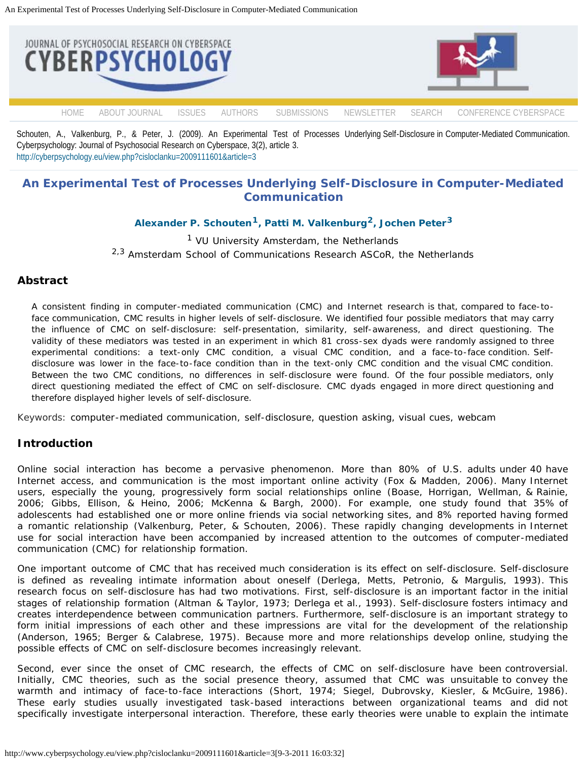<span id="page-1-0"></span>

Schouten, A., Valkenburg, P., & Peter, J. (2009). An Experimental Test of Processes Underlying Self-Disclosure in Computer-Mediated Communication. Cyberpsychology: Journal of Psychosocial Research on Cyberspace, 3(2), article 3. [http://cyberpsychology.eu/view.php?cisloclanku=2009111601&article=3](#page-1-0)

# **An Experimental Test of Processes Underlying Self-Disclosure in Computer-Mediated Communication**

# **[Alexander P. Schouten](#page-14-0)[1, Patti M. Valkenburg2, Jochen Peter3](#page-14-0)**

 $<sup>1</sup>$  VU University Amsterdam, the Netherlands</sup> <sup>2,3</sup> Amsterdam School of Communications Research ASCoR, the Netherlands

## **Abstract**

*A consistent finding in computer-mediated communication (CMC) and Internet research is that, compared to face-toface communication, CMC results in higher levels of self-disclosure. We identified four possible mediators that may carry the influence of CMC on self-disclosure: self-presentation, similarity, self-awareness, and direct questioning. The validity of these mediators was tested in an experiment in which 81 cross-sex dyads were randomly assigned to three experimental conditions: a text-only CMC condition, a visual CMC condition, and a face-to-face condition. Selfdisclosure was lower in the face-to-face condition than in the text-only CMC condition and the visual CMC condition. Between the two CMC conditions, no differences in self-disclosure were found. Of the four possible mediators, only direct questioning mediated the effect of CMC on self-disclosure. CMC dyads engaged in more direct questioning and therefore displayed higher levels of self-disclosure.*

Keywords: computer-mediated communication, self-disclosure, question asking, visual cues, webcam

## **Introduction**

Online social interaction has become a pervasive phenomenon. More than 80% of U.S. adults under 40 have Internet access, and communication is the most important online activity (Fox & Madden, 2006). Many Internet users, especially the young, progressively form social relationships online (Boase, Horrigan, Wellman, & Rainie, 2006; Gibbs, Ellison, & Heino, 2006; McKenna & Bargh, 2000). For example, one study found that 35% of adolescents had established one or more online friends via social networking sites, and 8% reported having formed a romantic relationship (Valkenburg, Peter, & Schouten, 2006). These rapidly changing developments in Internet use for social interaction have been accompanied by increased attention to the outcomes of computer-mediated communication (CMC) for relationship formation.

One important outcome of CMC that has received much consideration is its effect on self-disclosure. Self-disclosure is defined as revealing intimate information about oneself (Derlega, Metts, Petronio, & Margulis, 1993). This research focus on self-disclosure has had two motivations. First, self-disclosure is an important factor in the initial stages of relationship formation (Altman & Taylor, 1973; Derlega et al., 1993). Self-disclosure fosters intimacy and creates interdependence between communication partners. Furthermore, self-disclosure is an important strategy to form initial impressions of each other and these impressions are vital for the development of the relationship (Anderson, 1965; Berger & Calabrese, 1975). Because more and more relationships develop online, studying the possible effects of CMC on self-disclosure becomes increasingly relevant.

Second, ever since the onset of CMC research, the effects of CMC on self-disclosure have been controversial. Initially, CMC theories, such as the social presence theory, assumed that CMC was unsuitable to convey the warmth and intimacy of face-to-face interactions (Short, 1974; Siegel, Dubrovsky, Kiesler, & McGuire, 1986). These early studies usually investigated task-based interactions between organizational teams and did not specifically investigate interpersonal interaction. Therefore, these early theories were unable to explain the intimate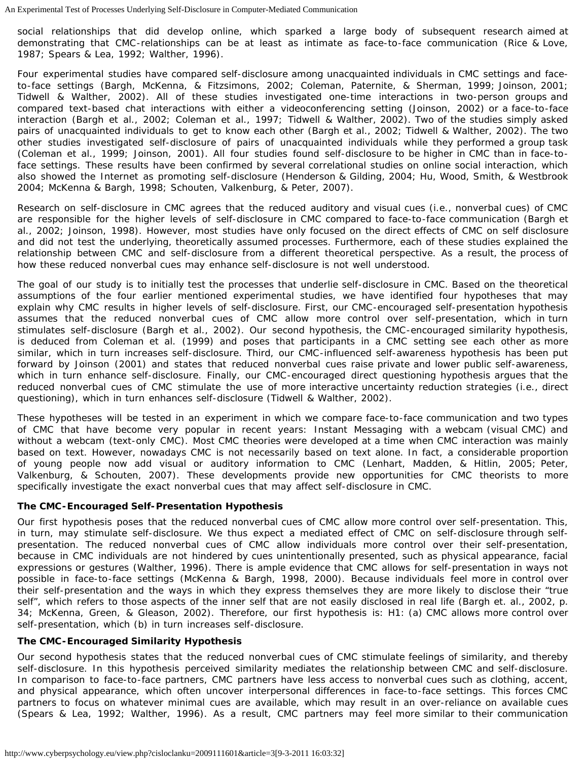social relationships that did develop online, which sparked a large body of subsequent research aimed at demonstrating that CMC-relationships can be at least as intimate as face-to-face communication (Rice & Love, 1987; Spears & Lea, 1992; Walther, 1996).

Four experimental studies have compared self-disclosure among unacquainted individuals in CMC settings and faceto-face settings (Bargh, McKenna, & Fitzsimons, 2002; Coleman, Paternite, & Sherman, 1999; Joinson, 2001; Tidwell & Walther, 2002). All of these studies investigated one-time interactions in two-person groups and compared text-based chat interactions with either a videoconferencing setting (Joinson, 2002) or a face-to-face interaction (Bargh et al., 2002; Coleman et al., 1997; Tidwell & Walther, 2002). Two of the studies simply asked pairs of unacquainted individuals to get to know each other (Bargh et al., 2002; Tidwell & Walther, 2002). The two other studies investigated self-disclosure of pairs of unacquainted individuals while they performed a group task (Coleman et al., 1999; Joinson, 2001). All four studies found self-disclosure to be higher in CMC than in face-toface settings. These results have been confirmed by several correlational studies on online social interaction, which also showed the Internet as promoting self-disclosure (Henderson & Gilding, 2004; Hu, Wood, Smith, & Westbrook 2004; McKenna & Bargh, 1998; Schouten, Valkenburg, & Peter, 2007).

Research on self-disclosure in CMC agrees that the reduced auditory and visual cues (i.e., nonverbal cues) of CMC are responsible for the higher levels of self-disclosure in CMC compared to face-to-face communication (Bargh et al., 2002; Joinson, 1998). However, most studies have only focused on the direct effects of CMC on self disclosure and did not test the underlying, theoretically assumed processes. Furthermore, each of these studies explained the relationship between CMC and self-disclosure from a different theoretical perspective. As a result, the process of how these reduced nonverbal cues may enhance self-disclosure is not well understood.

The goal of our study is to initially test the processes that underlie self-disclosure in CMC. Based on the theoretical assumptions of the four earlier mentioned experimental studies, we have identified four hypotheses that may explain why CMC results in higher levels of self-disclosure. First, our CMC-encouraged self-presentation hypothesis assumes that the reduced nonverbal cues of CMC allow more control over self-presentation, which in turn stimulates self-disclosure (Bargh et al., 2002). Our second hypothesis, the CMC-encouraged similarity hypothesis, is deduced from Coleman et al. (1999) and poses that participants in a CMC setting see each other as more similar, which in turn increases self-disclosure. Third, our CMC-influenced self-awareness hypothesis has been put forward by Joinson (2001) and states that reduced nonverbal cues raise private and lower public self-awareness, which in turn enhance self-disclosure. Finally, our CMC-encouraged direct questioning hypothesis argues that the reduced nonverbal cues of CMC stimulate the use of more interactive uncertainty reduction strategies (i.e., direct questioning), which in turn enhances self-disclosure (Tidwell & Walther, 2002).

These hypotheses will be tested in an experiment in which we compare face-to-face communication and two types of CMC that have become very popular in recent years: Instant Messaging with a webcam (visual CMC) and without a webcam (text-only CMC). Most CMC theories were developed at a time when CMC interaction was mainly based on text. However, nowadays CMC is not necessarily based on text alone. In fact, a considerable proportion of young people now add visual or auditory information to CMC (Lenhart, Madden, & Hitlin, 2005; Peter, Valkenburg, & Schouten, 2007). These developments provide new opportunities for CMC theorists to more specifically investigate the exact nonverbal cues that may affect self-disclosure in CMC.

## **The CMC-Encouraged Self-Presentation Hypothesis**

Our first hypothesis poses that the reduced nonverbal cues of CMC allow more control over self-presentation. This, in turn, may stimulate self-disclosure. We thus expect a mediated effect of CMC on self-disclosure through selfpresentation. The reduced nonverbal cues of CMC allow individuals more control over their self-presentation, because in CMC individuals are not hindered by cues unintentionally presented, such as physical appearance, facial expressions or gestures (Walther, 1996). There is ample evidence that CMC allows for self-presentation in ways not possible in face-to-face settings (McKenna & Bargh, 1998, 2000). Because individuals feel more in control over their self-presentation and the ways in which they express themselves they are more likely to disclose their "true self", which refers to those aspects of the inner self that are not easily disclosed in real life (Bargh et. al., 2002, p. 34; McKenna, Green, & Gleason, 2002). Therefore, our first hypothesis is: H1: (a) CMC allows more control over self-presentation, which (b) in turn increases self-disclosure.

## **The CMC-Encouraged Similarity Hypothesis**

Our second hypothesis states that the reduced nonverbal cues of CMC stimulate feelings of similarity, and thereby self-disclosure. In this hypothesis perceived similarity mediates the relationship between CMC and self-disclosure. In comparison to face-to-face partners, CMC partners have less access to nonverbal cues such as clothing, accent, and physical appearance, which often uncover interpersonal differences in face-to-face settings. This forces CMC partners to focus on whatever minimal cues are available, which may result in an over-reliance on available cues (Spears & Lea, 1992; Walther, 1996). As a result, CMC partners may feel more similar to their communication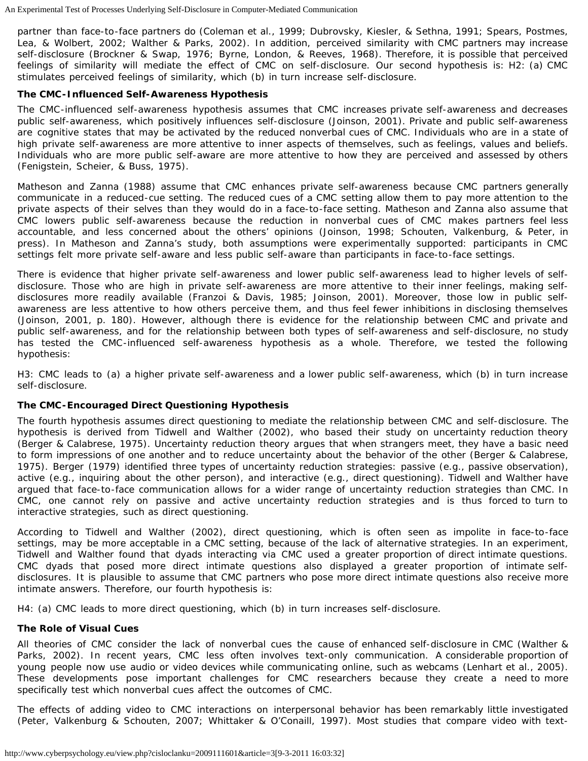partner than face-to-face partners do (Coleman et al., 1999; Dubrovsky, Kiesler, & Sethna, 1991; Spears, Postmes, Lea, & Wolbert, 2002; Walther & Parks, 2002). In addition, perceived similarity with CMC partners may increase self-disclosure (Brockner & Swap, 1976; Byrne, London, & Reeves, 1968). Therefore, it is possible that perceived feelings of similarity will mediate the effect of CMC on self-disclosure. Our second hypothesis is: H2: (a) CMC stimulates perceived feelings of similarity, which (b) in turn increase self-disclosure.

#### **The CMC-Influenced Self-Awareness Hypothesis**

The CMC-influenced self-awareness hypothesis assumes that CMC increases private self-awareness and decreases public self-awareness, which positively influences self-disclosure (Joinson, 2001). Private and public self-awareness are cognitive states that may be activated by the reduced nonverbal cues of CMC. Individuals who are in a state of high private self-awareness are more attentive to inner aspects of themselves, such as feelings, values and beliefs. Individuals who are more public self-aware are more attentive to how they are perceived and assessed by others (Fenigstein, Scheier, & Buss, 1975).

Matheson and Zanna (1988) assume that CMC enhances private self-awareness because CMC partners generally communicate in a reduced-cue setting. The reduced cues of a CMC setting allow them to pay more attention to the private aspects of their selves than they would do in a face-to-face setting. Matheson and Zanna also assume that CMC lowers public self-awareness because the reduction in nonverbal cues of CMC makes partners feel less accountable, and less concerned about the others' opinions (Joinson, 1998; Schouten, Valkenburg, & Peter, in press). In Matheson and Zanna's study, both assumptions were experimentally supported: participants in CMC settings felt more private self-aware and less public self-aware than participants in face-to-face settings.

There is evidence that higher private self-awareness and lower public self-awareness lead to higher levels of selfdisclosure. Those who are high in private self-awareness are more attentive to their inner feelings, making selfdisclosures more readily available (Franzoi & Davis, 1985; Joinson, 2001). Moreover, those low in public selfawareness are less attentive to how others perceive them, and thus feel fewer inhibitions in disclosing themselves (Joinson, 2001, p. 180). However, although there is evidence for the relationship between CMC and private and public self-awareness, and for the relationship between both types of self-awareness and self-disclosure, no study has tested the CMC-influenced self-awareness hypothesis as a whole. Therefore, we tested the following hypothesis:

H3: CMC leads to (a) a higher private self-awareness and a lower public self-awareness, which (b) in turn increase self-disclosure.

## **The CMC-Encouraged Direct Questioning Hypothesis**

The fourth hypothesis assumes direct questioning to mediate the relationship between CMC and self-disclosure. The hypothesis is derived from Tidwell and Walther (2002), who based their study on uncertainty reduction theory (Berger & Calabrese, 1975). Uncertainty reduction theory argues that when strangers meet, they have a basic need to form impressions of one another and to reduce uncertainty about the behavior of the other (Berger & Calabrese, 1975). Berger (1979) identified three types of uncertainty reduction strategies: passive (e.g., passive observation), active (e.g., inquiring about the other person), and interactive (e.g., direct questioning). Tidwell and Walther have argued that face-to-face communication allows for a wider range of uncertainty reduction strategies than CMC. In CMC, one cannot rely on passive and active uncertainty reduction strategies and is thus forced to turn to interactive strategies, such as direct questioning.

According to Tidwell and Walther (2002), direct questioning, which is often seen as impolite in face-to-face settings, may be more acceptable in a CMC setting, because of the lack of alternative strategies. In an experiment, Tidwell and Walther found that dyads interacting via CMC used a greater proportion of direct intimate questions. CMC dyads that posed more direct intimate questions also displayed a greater proportion of intimate selfdisclosures. It is plausible to assume that CMC partners who pose more direct intimate questions also receive more intimate answers. Therefore, our fourth hypothesis is:

H4: (a) CMC leads to more direct questioning, which (b) in turn increases self-disclosure.

#### **The Role of Visual Cues**

All theories of CMC consider the lack of nonverbal cues the cause of enhanced self-disclosure in CMC (Walther & Parks, 2002). In recent years, CMC less often involves text-only communication. A considerable proportion of young people now use audio or video devices while communicating online, such as webcams (Lenhart et al., 2005). These developments pose important challenges for CMC researchers because they create a need to more specifically test which nonverbal cues affect the outcomes of CMC.

The effects of adding video to CMC interactions on interpersonal behavior has been remarkably little investigated (Peter, Valkenburg & Schouten, 2007; Whittaker & O'Conaill, 1997). Most studies that compare video with text-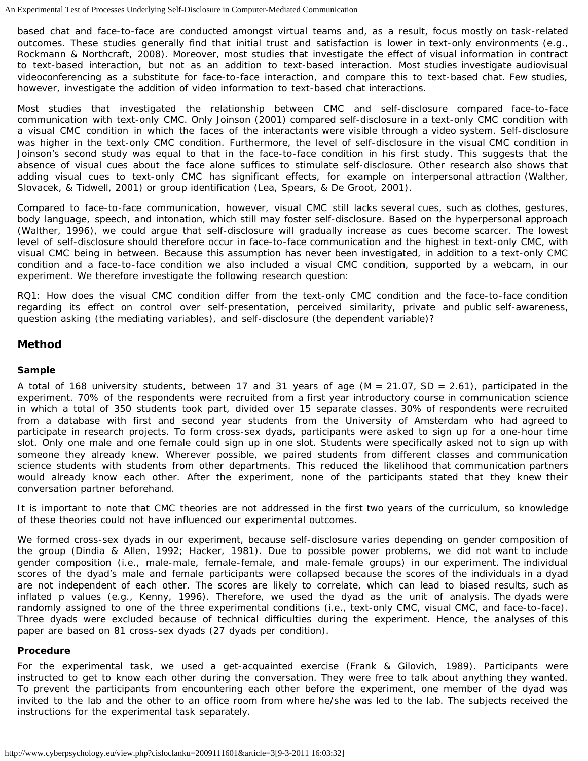based chat and face-to-face are conducted amongst virtual teams and, as a result, focus mostly on task-related outcomes. These studies generally find that initial trust and satisfaction is lower in text-only environments (e.g., Rockmann & Northcraft, 2008). Moreover, most studies that investigate the effect of visual information in contract to text-based interaction, but not as an addition to text-based interaction. Most studies investigate audiovisual videoconferencing as a substitute for face-to-face interaction, and compare this to text-based chat. Few studies, however, investigate the addition of video information to text-based chat interactions.

Most studies that investigated the relationship between CMC and self-disclosure compared face-to-face communication with text-only CMC. Only Joinson (2001) compared self-disclosure in a text-only CMC condition with a visual CMC condition in which the faces of the interactants were visible through a video system. Self-disclosure was higher in the text-only CMC condition. Furthermore, the level of self-disclosure in the visual CMC condition in Joinson's second study was equal to that in the face-to-face condition in his first study. This suggests that the absence of visual cues about the face alone suffices to stimulate self-disclosure. Other research also shows that adding visual cues to text-only CMC has significant effects, for example on interpersonal attraction (Walther, Slovacek, & Tidwell, 2001) or group identification (Lea, Spears, & De Groot, 2001).

Compared to face-to-face communication, however, visual CMC still lacks several cues, such as clothes, gestures, body language, speech, and intonation, which still may foster self-disclosure. Based on the hyperpersonal approach (Walther, 1996), we could argue that self-disclosure will gradually increase as cues become scarcer. The lowest level of self-disclosure should therefore occur in face-to-face communication and the highest in text-only CMC, with visual CMC being in between. Because this assumption has never been investigated, in addition to a text-only CMC condition and a face-to-face condition we also included a visual CMC condition, supported by a webcam, in our experiment. We therefore investigate the following research question:

RQ1: How does the visual CMC condition differ from the text-only CMC condition and the face-to-face condition regarding its effect on control over self-presentation, perceived similarity, private and public self-awareness, question asking (the mediating variables), and self-disclosure (the dependent variable)?

## **Method**

### **Sample**

A total of 168 university students, between 17 and 31 years of age ( $M = 21.07$ , SD = 2.61), participated in the experiment. 70% of the respondents were recruited from a first year introductory course in communication science in which a total of 350 students took part, divided over 15 separate classes. 30% of respondents were recruited from a database with first and second year students from the University of Amsterdam who had agreed to participate in research projects. To form cross-sex dyads, participants were asked to sign up for a one-hour time slot. Only one male and one female could sign up in one slot. Students were specifically asked not to sign up with someone they already knew. Wherever possible, we paired students from different classes and communication science students with students from other departments. This reduced the likelihood that communication partners would already know each other. After the experiment, none of the participants stated that they knew their conversation partner beforehand.

It is important to note that CMC theories are not addressed in the first two years of the curriculum, so knowledge of these theories could not have influenced our experimental outcomes.

We formed cross-sex dyads in our experiment, because self-disclosure varies depending on gender composition of the group (Dindia & Allen, 1992; Hacker, 1981). Due to possible power problems, we did not want to include gender composition (i.e., male-male, female-female, and male-female groups) in our experiment. The individual scores of the dyad's male and female participants were collapsed because the scores of the individuals in a dyad are not independent of each other. The scores are likely to correlate, which can lead to biased results, such as inflated p values (e.g., Kenny, 1996). Therefore, we used the dyad as the unit of analysis. The dyads were randomly assigned to one of the three experimental conditions (i.e., text-only CMC, visual CMC, and face-to-face). Three dyads were excluded because of technical difficulties during the experiment. Hence, the analyses of this paper are based on 81 cross-sex dyads (27 dyads per condition).

#### **Procedure**

For the experimental task, we used a get-acquainted exercise (Frank & Gilovich, 1989). Participants were instructed to get to know each other during the conversation. They were free to talk about anything they wanted. To prevent the participants from encountering each other before the experiment, one member of the dyad was invited to the lab and the other to an office room from where he/she was led to the lab. The subjects received the instructions for the experimental task separately.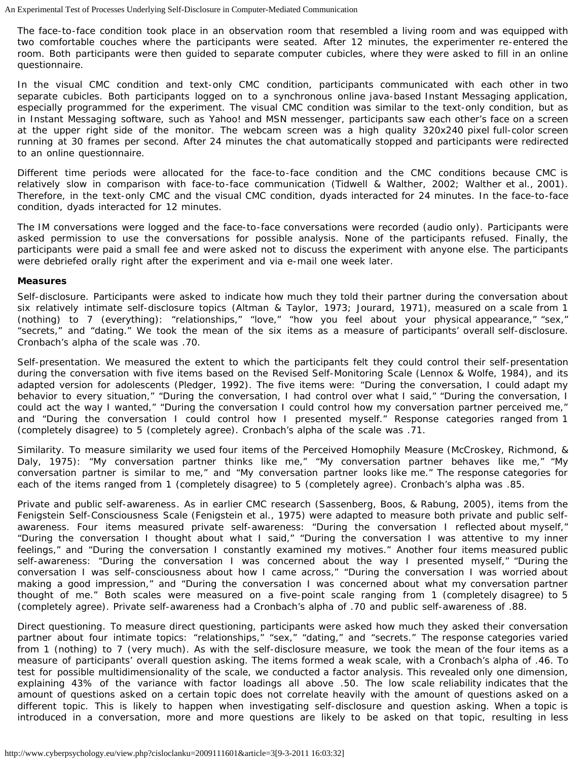The face-to-face condition took place in an observation room that resembled a living room and was equipped with two comfortable couches where the participants were seated. After 12 minutes, the experimenter re-entered the room. Both participants were then guided to separate computer cubicles, where they were asked to fill in an online questionnaire.

In the visual CMC condition and text-only CMC condition, participants communicated with each other in two separate cubicles. Both participants logged on to a synchronous online java-based Instant Messaging application, especially programmed for the experiment. The visual CMC condition was similar to the text-only condition, but as in Instant Messaging software, such as Yahoo! and MSN messenger, participants saw each other's face on a screen at the upper right side of the monitor. The webcam screen was a high quality 320x240 pixel full-color screen running at 30 frames per second. After 24 minutes the chat automatically stopped and participants were redirected to an online questionnaire.

Different time periods were allocated for the face-to-face condition and the CMC conditions because CMC is relatively slow in comparison with face-to-face communication (Tidwell & Walther, 2002; Walther et al., 2001). Therefore, in the text-only CMC and the visual CMC condition, dyads interacted for 24 minutes. In the face-to-face condition, dyads interacted for 12 minutes.

The IM conversations were logged and the face-to-face conversations were recorded (audio only). Participants were asked permission to use the conversations for possible analysis. None of the participants refused. Finally, the participants were paid a small fee and were asked not to discuss the experiment with anyone else. The participants were debriefed orally right after the experiment and via e-mail one week later.

#### **Measures**

*Self-disclosure*. Participants were asked to indicate how much they told their partner during the conversation about six relatively intimate self-disclosure topics (Altman & Taylor, 1973; Jourard, 1971), measured on a scale from 1 (nothing) to 7 (everything): "relationships," "love," "how you feel about your physical appearance," "sex," "secrets," and "dating." We took the mean of the six items as a measure of participants' overall self-disclosure. Cronbach's alpha of the scale was .70.

*Self-presentation*. We measured the extent to which the participants felt they could control their self-presentation during the conversation with five items based on the Revised Self-Monitoring Scale (Lennox & Wolfe, 1984), and its adapted version for adolescents (Pledger, 1992). The five items were: "During the conversation, I could adapt my behavior to every situation," "During the conversation, I had control over what I said," "During the conversation, I could act the way I wanted," "During the conversation I could control how my conversation partner perceived me," and "During the conversation I could control how I presented myself." Response categories ranged from 1 (completely disagree) to 5 (completely agree). Cronbach's alpha of the scale was .71.

*Similarity*. To measure similarity we used four items of the Perceived Homophily Measure (McCroskey, Richmond, & Daly, 1975): "My conversation partner thinks like me," "My conversation partner behaves like me," "My conversation partner is similar to me," and "My conversation partner looks like me." The response categories for each of the items ranged from 1 (completely disagree) to 5 (completely agree). Cronbach's alpha was .85.

*Private and public self-awareness*. As in earlier CMC research (Sassenberg, Boos, & Rabung, 2005), items from the Fenigstein Self-Consciousness Scale (Fenigstein et al., 1975) were adapted to measure both private and public selfawareness. Four items measured private self-awareness: "During the conversation I reflected about myself," "During the conversation I thought about what I said," "During the conversation I was attentive to my inner feelings," and "During the conversation I constantly examined my motives." Another four items measured public self-awareness: "During the conversation I was concerned about the way I presented myself," "During the conversation I was self-consciousness about how I came across," "During the conversation I was worried about making a good impression," and "During the conversation I was concerned about what my conversation partner thought of me." Both scales were measured on a five-point scale ranging from 1 (completely disagree) to 5 (completely agree). Private self-awareness had a Cronbach's alpha of .70 and public self-awareness of .88.

*Direct questioning*. To measure direct questioning, participants were asked how much they asked their conversation partner about four intimate topics: "relationships," "sex," "dating," and "secrets." The response categories varied from 1 (nothing) to 7 (very much). As with the self-disclosure measure, we took the mean of the four items as a measure of participants' overall question asking. The items formed a weak scale, with a Cronbach's alpha of .46. To test for possible multidimensionality of the scale, we conducted a factor analysis. This revealed only one dimension, explaining 43% of the variance with factor loadings all above .50. The low scale reliability indicates that the amount of questions asked on a certain topic does not correlate heavily with the amount of questions asked on a different topic. This is likely to happen when investigating self-disclosure and question asking. When a topic is introduced in a conversation, more and more questions are likely to be asked on that topic, resulting in less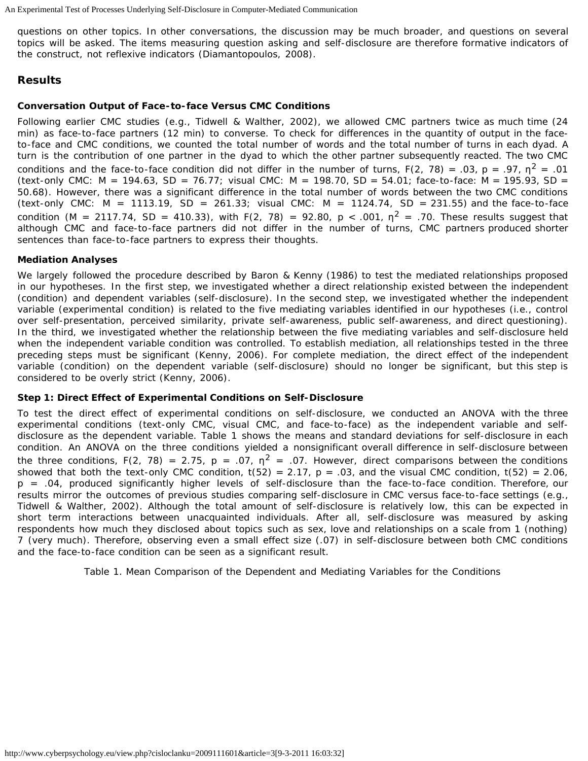questions on other topics. In other conversations, the discussion may be much broader, and questions on several topics will be asked. The items measuring question asking and self-disclosure are therefore formative indicators of the construct, not reflexive indicators (Diamantopoulos, 2008).

# **Results**

## **Conversation Output of Face-to-face Versus CMC Conditions**

Following earlier CMC studies (e.g., Tidwell & Walther, 2002), we allowed CMC partners twice as much time (24 min) as face-to-face partners (12 min) to converse. To check for differences in the quantity of output in the faceto-face and CMC conditions, we counted the total number of words and the total number of turns in each dyad. A turn is the contribution of one partner in the dyad to which the other partner subsequently reacted. The two CMC conditions and the face-to-face condition did not differ in the number of turns,  $F(2, 78) = .03$ ,  $p = .97$ ,  $n^2 = .01$ (text-only CMC:  $M = 194.63$ ,  $SD = 76.77$ ; visual CMC:  $M = 198.70$ ,  $SD = 54.01$ ; face-to-face:  $M = 195.93$ ,  $SD =$ 50.68). However, there was a significant difference in the total number of words between the two CMC conditions (text-only CMC:  $M = 1113.19$ ,  $SD = 261.33$ ; visual CMC:  $M = 1124.74$ ,  $SD = 231.55$ ) and the face-to-face condition (M = 2117.74, SD = 410.33), with F(2, 78) = 92.80, p < .001,  $n^2$  = .70. These results suggest that although CMC and face-to-face partners did not differ in the number of turns, CMC partners produced shorter sentences than face-to-face partners to express their thoughts.

## **Mediation Analyses**

We largely followed the procedure described by Baron & Kenny (1986) to test the mediated relationships proposed in our hypotheses. In the first step, we investigated whether a direct relationship existed between the independent (condition) and dependent variables (self-disclosure). In the second step, we investigated whether the independent variable (experimental condition) is related to the five mediating variables identified in our hypotheses (i.e., control over self-presentation, perceived similarity, private self-awareness, public self-awareness, and direct questioning). In the third, we investigated whether the relationship between the five mediating variables and self-disclosure held when the independent variable condition was controlled. To establish mediation, all relationships tested in the three preceding steps must be significant (Kenny, 2006). For complete mediation, the direct effect of the independent variable (condition) on the dependent variable (self-disclosure) should no longer be significant, but this step is considered to be overly strict (Kenny, 2006).

## **Step 1: Direct Effect of Experimental Conditions on Self-Disclosure**

To test the direct effect of experimental conditions on self-disclosure, we conducted an ANOVA with the three experimental conditions (text-only CMC, visual CMC, and face-to-face) as the independent variable and selfdisclosure as the dependent variable. Table 1 shows the means and standard deviations for self-disclosure in each condition. An ANOVA on the three conditions yielded a nonsignificant overall difference in self-disclosure between the three conditions, F(2, 78) = 2.75, p = .07,  $\eta^2$  = .07. However, direct comparisons between the conditions showed that both the text-only CMC condition,  $t(52) = 2.17$ ,  $p = .03$ , and the visual CMC condition,  $t(52) = 2.06$ , p = .04, produced significantly higher levels of self-disclosure than the face-to-face condition. Therefore, our results mirror the outcomes of previous studies comparing self-disclosure in CMC versus face-to-face settings (e.g., Tidwell & Walther, 2002). Although the total amount of self-disclosure is relatively low, this can be expected in short term interactions between unacquainted individuals. After all, self-disclosure was measured by asking respondents how much they disclosed about topics such as sex, love and relationships on a scale from 1 (nothing) 7 (very much). Therefore, observing even a small effect size (.07) in self-disclosure between both CMC conditions and the face-to-face condition can be seen as a significant result.

*Table 1. Mean Comparison of the Dependent and Mediating Variables for the Conditions*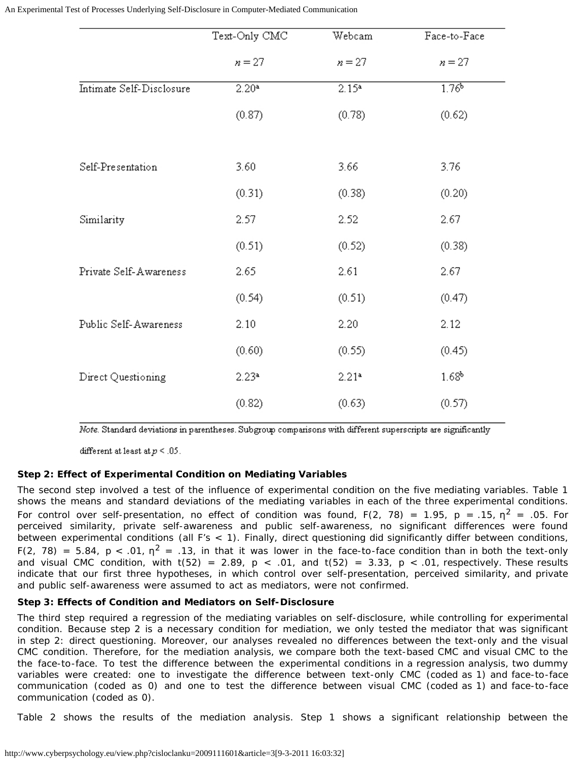|                          | Text-Only CMC     | Webcam            | Face-to-Face      |
|--------------------------|-------------------|-------------------|-------------------|
|                          | $n = 27$          | $n = 27$          | $n = 27$          |
| Intimate Self-Disclosure | 2.20 <sup>a</sup> | 2.15 <sup>a</sup> | 1.76 <sup>b</sup> |
|                          | (0.87)            | (0.78)            | (0.62)            |
| Self-Presentation        | 3.60              | 3.66              | 3.76              |
|                          | (0.31)            | (0.38)            | (0.20)            |
| Similarity               | 2.57              | 2.52              | 2.67              |
|                          | (0.51)            | (0.52)            | (0.38)            |
| Private Self-Awareness   | 2.65              | 2.61              | 2.67              |
|                          | (0.54)            | (0.51)            | (0.47)            |
| Public Self-Awareness    | 2.10              | 2.20              | 2.12              |
|                          | (0.60)            | (0.55)            | (0.45)            |
| Direct Questioning       | 2.23 <sup>a</sup> | 2.214             | 1.68 <sup>b</sup> |
|                          | (0.82)            | (0.63)            | (0.57)            |
|                          |                   |                   |                   |

Note. Standard deviations in parentheses. Subgroup comparisons with different superscripts are significantly

different at least at  $p \leq .05$ .

#### **Step 2: Effect of Experimental Condition on Mediating Variables**

The second step involved a test of the influence of experimental condition on the five mediating variables. Table 1 shows the means and standard deviations of the mediating variables in each of the three experimental conditions. For control over self-presentation, no effect of condition was found,  $F(2, 78) = 1.95$ ,  $p = .15$ ,  $n^2 = .05$ . For perceived similarity, private self-awareness and public self-awareness, no significant differences were found between experimental conditions (all F's < 1). Finally, direct questioning did significantly differ between conditions, F(2, 78) = 5.84, p < .01,  $\eta^2$  = .13, in that it was lower in the face-to-face condition than in both the text-only and visual CMC condition, with  $t(52) = 2.89$ ,  $p < .01$ , and  $t(52) = 3.33$ ,  $p < .01$ , respectively. These results indicate that our first three hypotheses, in which control over self-presentation, perceived similarity, and private and public self-awareness were assumed to act as mediators, were not confirmed.

#### **Step 3: Effects of Condition and Mediators on Self-Disclosure**

The third step required a regression of the mediating variables on self-disclosure, while controlling for experimental condition. Because step 2 is a necessary condition for mediation, we only tested the mediator that was significant in step 2: direct questioning. Moreover, our analyses revealed no differences between the text-only and the visual CMC condition. Therefore, for the mediation analysis, we compare both the text-based CMC and visual CMC to the the face-to-face. To test the difference between the experimental conditions in a regression analysis, two dummy variables were created: one to investigate the difference between text-only CMC (coded as 1) and face-to-face communication (coded as 0) and one to test the difference between visual CMC (coded as 1) and face-to-face communication (coded as 0).

Table 2 shows the results of the mediation analysis. Step 1 shows a significant relationship between the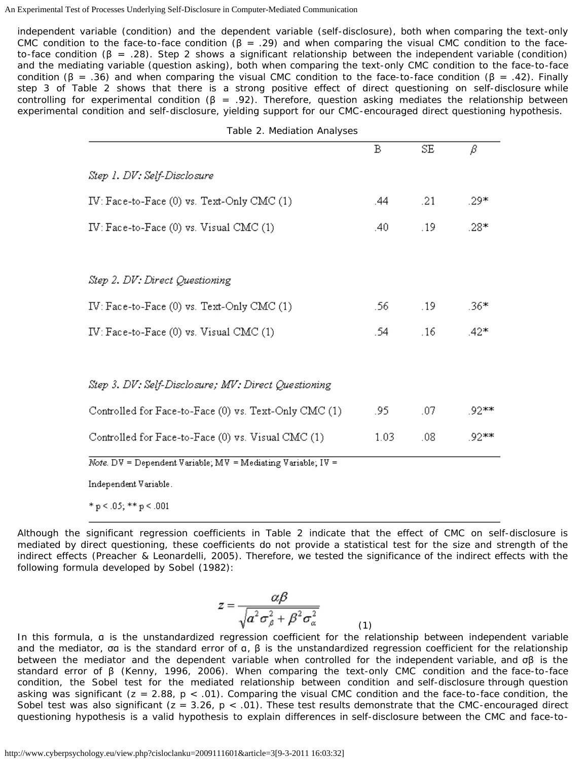independent variable (condition) and the dependent variable (self-disclosure), both when comparing the text-only CMC condition to the face-to-face condition ( $\beta$  = .29) and when comparing the visual CMC condition to the faceto-face condition ( $\beta$  = .28). Step 2 shows a significant relationship between the independent variable (condition) and the mediating variable (question asking), both when comparing the text-only CMC condition to the face-to-face condition (β = .36) and when comparing the visual CMC condition to the face-to-face condition (β = .42). Finally step 3 of Table 2 shows that there is a strong positive effect of direct questioning on self-disclosure while controlling for experimental condition ( $\beta = .92$ ). Therefore, question asking mediates the relationship between experimental condition and self-disclosure, yielding support for our CMC-encouraged direct questioning hypothesis.

| Table 2. Mediation Analyses                                  |      |     |       |  |  |
|--------------------------------------------------------------|------|-----|-------|--|--|
|                                                              | B    | SE  | β     |  |  |
| Step 1. DV: Self-Disclosure                                  |      |     |       |  |  |
| IV: Face-to-Face (0) vs. Text-Only CMC (1)                   | .44  | .21 | .29*  |  |  |
| IV: Face-to-Face (0) vs. Visual CMC (1)                      | .40  | .19 | .28*  |  |  |
| Step 2. DV: Direct Questioning                               |      |     |       |  |  |
| IV: Face-to-Face (0) vs. Text-Only CMC (1)                   | .56  | .19 | .36*  |  |  |
| IV: Face-to-Face (0) vs. Visual CMC (1)                      | .54  | .16 | .42*  |  |  |
| Step 3. DV: Self-Disclosure; MV: Direct Questioning          |      |     |       |  |  |
| Controlled for Face-to-Face (0) vs. Text-Only CMC (1)        | .95  | .07 | .92** |  |  |
| Controlled for Face-to-Face (0) vs. Visual CMC (1)           | 1.03 | .08 | .92** |  |  |
| Note. DV = Dependent Variable; MV = Mediating Variable; IV = |      |     |       |  |  |
| Independent Variable.                                        |      |     |       |  |  |

\*  $p < .05$ ; \*\*  $p < .001$ 

Although the significant regression coefficients in Table 2 indicate that the effect of CMC on self-disclosure is mediated by direct questioning, these coefficients do not provide a statistical test for the size and strength of the indirect effects (Preacher & Leonardelli, 2005). Therefore, we tested the significance of the indirect effects with the following formula developed by Sobel (1982):

$$
z = \frac{\alpha \beta}{\sqrt{a^2 \sigma_{\beta}^2 + \beta^2 \sigma_{\alpha}^2}}
$$
 (1)

In this formula, α is the unstandardized regression coefficient for the relationship between independent variable and the mediator, σα is the standard error of  $a, \beta$  is the unstandardized regression coefficient for the relationship between the mediator and the dependent variable when controlled for the independent variable, and σβ is the standard error of β (Kenny, 1996, 2006). When comparing the text-only CMC condition and the face-to-face condition, the Sobel test for the mediated relationship between condition and self-disclosure through question asking was significant ( $z = 2.88$ ,  $p < .01$ ). Comparing the visual CMC condition and the face-to-face condition, the Sobel test was also significant ( $z = 3.26$ ,  $p < .01$ ). These test results demonstrate that the CMC-encouraged direct questioning hypothesis is a valid hypothesis to explain differences in self-disclosure between the CMC and face-to-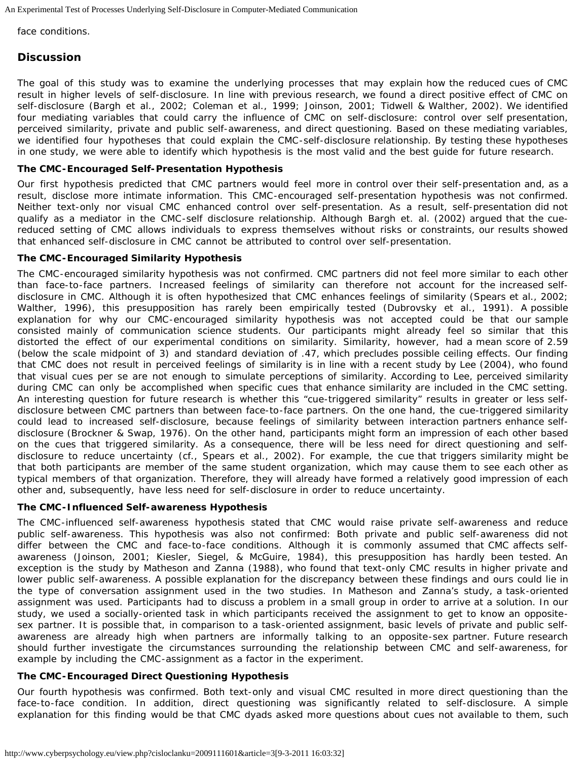face conditions.

# **Discussion**

The goal of this study was to examine the underlying processes that may explain how the reduced cues of CMC result in higher levels of self-disclosure. In line with previous research, we found a direct positive effect of CMC on self-disclosure (Bargh et al., 2002; Coleman et al., 1999; Joinson, 2001; Tidwell & Walther, 2002). We identified four mediating variables that could carry the influence of CMC on self-disclosure: control over self presentation, perceived similarity, private and public self-awareness, and direct questioning. Based on these mediating variables, we identified four hypotheses that could explain the CMC-self-disclosure relationship. By testing these hypotheses in one study, we were able to identify which hypothesis is the most valid and the best guide for future research.

## **The CMC-Encouraged Self-Presentation Hypothesis**

Our first hypothesis predicted that CMC partners would feel more in control over their self-presentation and, as a result, disclose more intimate information. This CMC-encouraged self-presentation hypothesis was not confirmed. Neither text-only nor visual CMC enhanced control over self-presentation. As a result, self-presentation did not qualify as a mediator in the CMC-self disclosure relationship. Although Bargh et. al. (2002) argued that the cuereduced setting of CMC allows individuals to express themselves without risks or constraints, our results showed that enhanced self-disclosure in CMC cannot be attributed to control over self-presentation.

## **The CMC-Encouraged Similarity Hypothesis**

The CMC-encouraged similarity hypothesis was not confirmed. CMC partners did not feel more similar to each other than face-to-face partners. Increased feelings of similarity can therefore not account for the increased selfdisclosure in CMC. Although it is often hypothesized that CMC enhances feelings of similarity (Spears et al., 2002; Walther, 1996), this presupposition has rarely been empirically tested (Dubrovsky et al., 1991). A possible explanation for why our CMC-encouraged similarity hypothesis was not accepted could be that our sample consisted mainly of communication science students. Our participants might already feel so similar that this distorted the effect of our experimental conditions on similarity. Similarity, however, had a mean score of 2.59 (below the scale midpoint of 3) and standard deviation of .47, which precludes possible ceiling effects. Our finding that CMC does not result in perceived feelings of similarity is in line with a recent study by Lee (2004), who found that visual cues per se are not enough to simulate perceptions of similarity. According to Lee, perceived similarity during CMC can only be accomplished when specific cues that enhance similarity are included in the CMC setting. An interesting question for future research is whether this "cue-triggered similarity" results in greater or less selfdisclosure between CMC partners than between face-to-face partners. On the one hand, the cue-triggered similarity could lead to increased self-disclosure, because feelings of similarity between interaction partners enhance selfdisclosure (Brockner & Swap, 1976). On the other hand, participants might form an impression of each other based on the cues that triggered similarity. As a consequence, there will be less need for direct questioning and selfdisclosure to reduce uncertainty (cf., Spears et al., 2002). For example, the cue that triggers similarity might be that both participants are member of the same student organization, which may cause them to see each other as typical members of that organization. Therefore, they will already have formed a relatively good impression of each other and, subsequently, have less need for self-disclosure in order to reduce uncertainty.

## **The CMC-Influenced Self-awareness Hypothesis**

The CMC-influenced self-awareness hypothesis stated that CMC would raise private self-awareness and reduce public self-awareness. This hypothesis was also not confirmed: Both private and public self-awareness did not differ between the CMC and face-to-face conditions. Although it is commonly assumed that CMC affects selfawareness (Joinson, 2001; Kiesler, Siegel, & McGuire, 1984), this presupposition has hardly been tested. An exception is the study by Matheson and Zanna (1988), who found that text-only CMC results in higher private and lower public self-awareness. A possible explanation for the discrepancy between these findings and ours could lie in the type of conversation assignment used in the two studies. In Matheson and Zanna's study, a task-oriented assignment was used. Participants had to discuss a problem in a small group in order to arrive at a solution. In our study, we used a socially-oriented task in which participants received the assignment to get to know an oppositesex partner. It is possible that, in comparison to a task-oriented assignment, basic levels of private and public selfawareness are already high when partners are informally talking to an opposite-sex partner. Future research should further investigate the circumstances surrounding the relationship between CMC and self-awareness, for example by including the CMC-assignment as a factor in the experiment.

## **The CMC-Encouraged Direct Questioning Hypothesis**

Our fourth hypothesis was confirmed. Both text-only and visual CMC resulted in more direct questioning than the face-to-face condition. In addition, direct questioning was significantly related to self-disclosure. A simple explanation for this finding would be that CMC dyads asked more questions about cues not available to them, such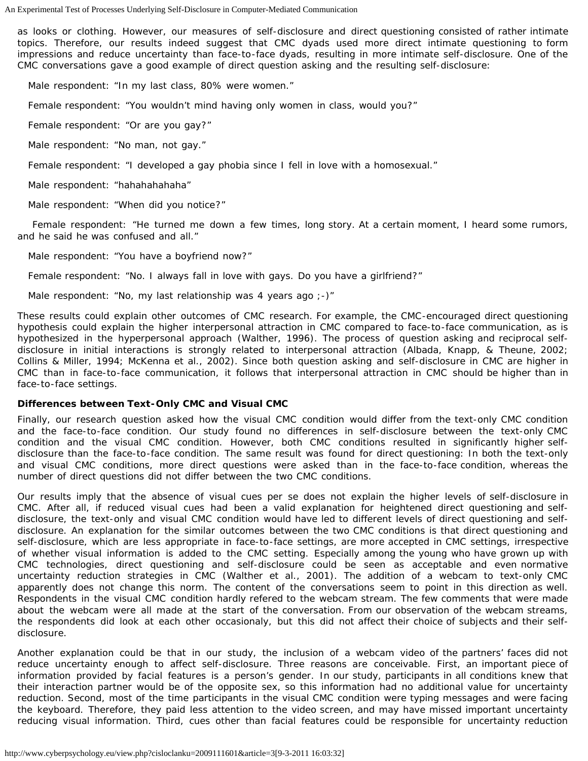as looks or clothing. However, our measures of self-disclosure and direct questioning consisted of rather intimate topics. Therefore, our results indeed suggest that CMC dyads used more direct intimate questioning to form impressions and reduce uncertainty than face-to-face dyads, resulting in more intimate self-disclosure. One of the CMC conversations gave a good example of direct question asking and the resulting self-disclosure:

Male respondent: "In my last class, 80% were women."

Female respondent: "You wouldn't mind having only women in class, would you?"

Female respondent: "Or are you gay?"

Male respondent: "No man, not gay."

Female respondent: "I developed a gay phobia since I fell in love with a homosexual."

Male respondent: "hahahahahaha"

Male respondent: "When did you notice?"

 Female respondent: "He turned me down a few times, long story. At a certain moment, I heard some rumors, and he said he was confused and all."

Male respondent: "You have a boyfriend now?"

Female respondent: "No. I always fall in love with gays. Do you have a girlfriend?"

Male respondent: "No, my last relationship was 4 years ago ;-)"

These results could explain other outcomes of CMC research. For example, the CMC-encouraged direct questioning hypothesis could explain the higher interpersonal attraction in CMC compared to face-to-face communication, as is hypothesized in the hyperpersonal approach (Walther, 1996). The process of question asking and reciprocal selfdisclosure in initial interactions is strongly related to interpersonal attraction (Albada, Knapp, & Theune, 2002; Collins & Miller, 1994; McKenna et al., 2002). Since both question asking and self-disclosure in CMC are higher in CMC than in face-to-face communication, it follows that interpersonal attraction in CMC should be higher than in face-to-face settings.

#### **Differences between Text-Only CMC and Visual CMC**

Finally, our research question asked how the visual CMC condition would differ from the text-only CMC condition and the face-to-face condition. Our study found no differences in self-disclosure between the text-only CMC condition and the visual CMC condition. However, both CMC conditions resulted in significantly higher selfdisclosure than the face-to-face condition. The same result was found for direct questioning: In both the text-only and visual CMC conditions, more direct questions were asked than in the face-to-face condition, whereas the number of direct questions did not differ between the two CMC conditions.

Our results imply that the absence of visual cues per se does not explain the higher levels of self-disclosure in CMC. After all, if reduced visual cues had been a valid explanation for heightened direct questioning and selfdisclosure, the text-only and visual CMC condition would have led to different levels of direct questioning and selfdisclosure. An explanation for the similar outcomes between the two CMC conditions is that direct questioning and self-disclosure, which are less appropriate in face-to-face settings, are more accepted in CMC settings, irrespective of whether visual information is added to the CMC setting. Especially among the young who have grown up with CMC technologies, direct questioning and self-disclosure could be seen as acceptable and even normative uncertainty reduction strategies in CMC (Walther et al., 2001). The addition of a webcam to text-only CMC apparently does not change this norm. The content of the conversations seem to point in this direction as well. Respondents in the visual CMC condition hardly refered to the webcam stream. The few comments that were made about the webcam were all made at the start of the conversation. From our observation of the webcam streams, the respondents did look at each other occasionaly, but this did not affect their choice of subjects and their selfdisclosure.

Another explanation could be that in our study, the inclusion of a webcam video of the partners' faces did not reduce uncertainty enough to affect self-disclosure. Three reasons are conceivable. First, an important piece of information provided by facial features is a person's gender. In our study, participants in all conditions knew that their interaction partner would be of the opposite sex, so this information had no additional value for uncertainty reduction. Second, most of the time participants in the visual CMC condition were typing messages and were facing the keyboard. Therefore, they paid less attention to the video screen, and may have missed important uncertainty reducing visual information. Third, cues other than facial features could be responsible for uncertainty reduction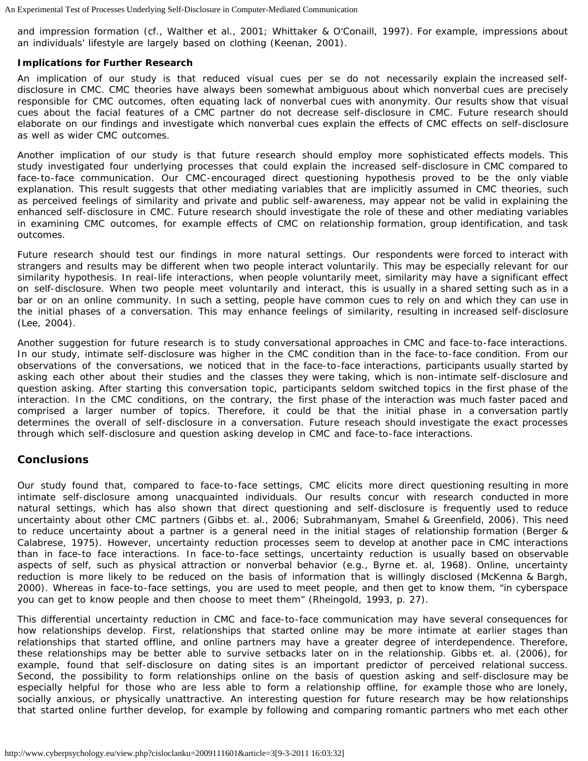and impression formation (cf., Walther et al., 2001; Whittaker & O'Conaill, 1997). For example, impressions about an individuals' lifestyle are largely based on clothing (Keenan, 2001).

### **Implications for Further Research**

An implication of our study is that reduced visual cues per se do not necessarily explain the increased selfdisclosure in CMC. CMC theories have always been somewhat ambiguous about which nonverbal cues are precisely responsible for CMC outcomes, often equating lack of nonverbal cues with anonymity. Our results show that visual cues about the facial features of a CMC partner do not decrease self-disclosure in CMC. Future research should elaborate on our findings and investigate which nonverbal cues explain the effects of CMC effects on self-disclosure as well as wider CMC outcomes.

Another implication of our study is that future research should employ more sophisticated effects models. This study investigated four underlying processes that could explain the increased self-disclosure in CMC compared to face-to-face communication. Our CMC-encouraged direct questioning hypothesis proved to be the only viable explanation. This result suggests that other mediating variables that are implicitly assumed in CMC theories, such as perceived feelings of similarity and private and public self-awareness, may appear not be valid in explaining the enhanced self-disclosure in CMC. Future research should investigate the role of these and other mediating variables in examining CMC outcomes, for example effects of CMC on relationship formation, group identification, and task outcomes.

Future research should test our findings in more natural settings. Our respondents were forced to interact with strangers and results may be different when two people interact voluntarily. This may be especially relevant for our similarity hypothesis. In real-life interactions, when people voluntarily meet, similarity may have a significant effect on self-disclosure. When two people meet voluntarily and interact, this is usually in a shared setting such as in a bar or on an online community. In such a setting, people have common cues to rely on and which they can use in the initial phases of a conversation. This may enhance feelings of similarity, resulting in increased self-disclosure (Lee, 2004).

Another suggestion for future research is to study conversational approaches in CMC and face-to-face interactions. In our study, intimate self-disclosure was higher in the CMC condition than in the face-to-face condition. From our observations of the conversations, we noticed that in the face-to-face interactions, participants usually started by asking each other about their studies and the classes they were taking, which is non-intimate self-disclosure and question asking. After starting this conversation topic, participants seldom switched topics in the first phase of the interaction. In the CMC conditions, on the contrary, the first phase of the interaction was much faster paced and comprised a larger number of topics. Therefore, it could be that the initial phase in a conversation partly determines the overall of self-disclosure in a conversation. Future reseach should investigate the exact processes through which self-disclosure and question asking develop in CMC and face-to-face interactions.

## **Conclusions**

Our study found that, compared to face-to-face settings, CMC elicits more direct questioning resulting in more intimate self-disclosure among unacquainted individuals. Our results concur with research conducted in more natural settings, which has also shown that direct questioning and self-disclosure is frequently used to reduce uncertainty about other CMC partners (Gibbs et. al., 2006; Subrahmanyam, Smahel & Greenfield, 2006). This need to reduce uncertainty about a partner is a general need in the initial stages of relationship formation (Berger & Calabrese, 1975). However, uncertainty reduction processes seem to develop at another pace in CMC interactions than in face-to face interactions. In face-to-face settings, uncertainty reduction is usually based on observable aspects of self, such as physical attraction or nonverbal behavior (e.g., Byrne et. al, 1968). Online, uncertainty reduction is more likely to be reduced on the basis of information that is willingly disclosed (McKenna & Bargh, 2000). Whereas in face-to-face settings, you are used to meet people, and then get to know them, "in cyberspace you can get to know people and then choose to meet them" (Rheingold, 1993, p. 27).

This differential uncertainty reduction in CMC and face-to-face communication may have several consequences for how relationships develop. First, relationships that started online may be more intimate at earlier stages than relationships that started offline, and online partners may have a greater degree of interdependence. Therefore, these relationships may be better able to survive setbacks later on in the relationship. Gibbs et. al. (2006), for example, found that self-disclosure on dating sites is an important predictor of perceived relational success. Second, the possibility to form relationships online on the basis of question asking and self-disclosure may be especially helpful for those who are less able to form a relationship offline, for example those who are lonely, socially anxious, or physically unattractive. An interesting question for future research may be how relationships that started online further develop, for example by following and comparing romantic partners who met each other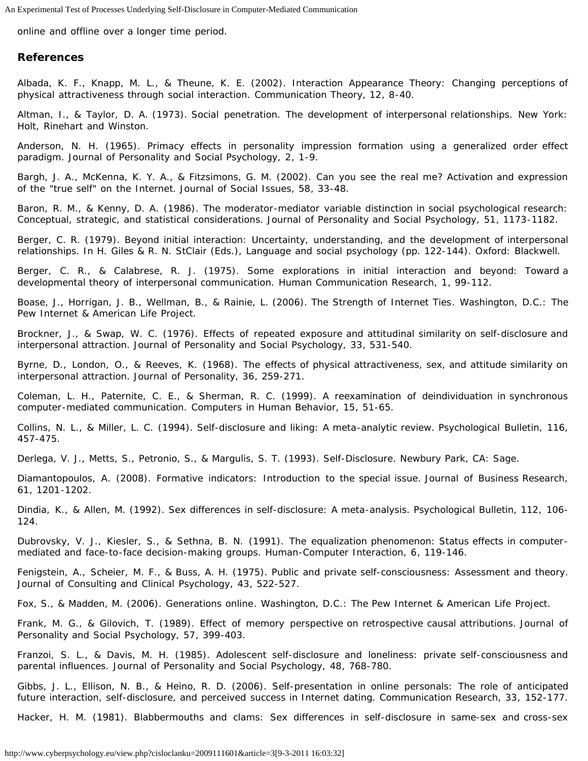online and offline over a longer time period.

### **References**

Albada, K. F., Knapp, M. L., & Theune, K. E. (2002). Interaction Appearance Theory: Changing perceptions of physical attractiveness through social interaction. *Communication Theory, 12*, 8-40.

Altman, I., & Taylor, D. A. (1973). *Social penetration. The development of interpersonal relationships*. New York: Holt, Rinehart and Winston.

Anderson, N. H. (1965). Primacy effects in personality impression formation using a generalized order effect paradigm. *Journal of Personality and Social Psychology, 2*, 1-9.

Bargh, J. A., McKenna, K. Y. A., & Fitzsimons, G. M. (2002). Can you see the real me? Activation and expression of the "true self" on the Internet. *Journal of Social Issues, 58*, 33-48.

Baron, R. M., & Kenny, D. A. (1986). The moderator-mediator variable distinction in social psychological research: Conceptual, strategic, and statistical considerations. *Journal of Personality and Social Psychology, 51*, 1173-1182.

Berger, C. R. (1979). Beyond initial interaction: Uncertainty, understanding, and the development of interpersonal relationships. In H. Giles & R. N. StClair (Eds.), *Language and social psychology* (pp. 122-144). Oxford: Blackwell.

Berger, C. R., & Calabrese, R. J. (1975). Some explorations in initial interaction and beyond: Toward a developmental theory of interpersonal communication. *Human Communication Research, 1*, 99-112.

Boase, J., Horrigan, J. B., Wellman, B., & Rainie, L. (2006). *The Strength of Internet Ties*. Washington, D.C.: The Pew Internet & American Life Project.

Brockner, J., & Swap, W. C. (1976). Effects of repeated exposure and attitudinal similarity on self-disclosure and interpersonal attraction. *Journal of Personality and Social Psychology, 33*, 531-540.

Byrne, D., London, O., & Reeves, K. (1968). The effects of physical attractiveness, sex, and attitude similarity on interpersonal attraction. *Journal of Personality, 36*, 259-271.

Coleman, L. H., Paternite, C. E., & Sherman, R. C. (1999). A reexamination of deindividuation in synchronous computer-mediated communication. *Computers in Human Behavior, 15*, 51-65.

Collins, N. L., & Miller, L. C. (1994). Self-disclosure and liking: A meta-analytic review. *Psychological Bulletin, 116*, 457-475.

Derlega, V. J., Metts, S., Petronio, S., & Margulis, S. T. (1993). *Self-Disclosure*. Newbury Park, CA: Sage.

Diamantopoulos, A. (2008). Formative indicators: Introduction to the special issue. *Journal of Business Research, 61*, 1201-1202.

Dindia, K., & Allen, M. (1992). Sex differences in self-disclosure: A meta-analysis. *Psychological Bulletin, 112*, 106- 124.

Dubrovsky, V. J., Kiesler, S., & Sethna, B. N. (1991). The equalization phenomenon: Status effects in computermediated and face-to-face decision-making groups. *Human-Computer Interaction, 6*, 119-146.

Fenigstein, A., Scheier, M. F., & Buss, A. H. (1975). Public and private self-consciousness: Assessment and theory. *Journal of Consulting and Clinical Psychology, 43*, 522-527.

Fox, S., & Madden, M. (2006). *Generations online*. Washington, D.C.: The Pew Internet & American Life Project.

Frank, M. G., & Gilovich, T. (1989). Effect of memory perspective on retrospective causal attributions. *Journal of Personality and Social Psychology, 57*, 399-403.

Franzoi, S. L., & Davis, M. H. (1985). Adolescent self-disclosure and loneliness: private self-consciousness and parental influences. *Journal of Personality and Social Psychology, 48*, 768-780.

Gibbs, J. L., Ellison, N. B., & Heino, R. D. (2006). Self-presentation in online personals: The role of anticipated future interaction, self-disclosure, and perceived success in Internet dating. *Communication Research, 33*, 152-177.

Hacker, H. M. (1981). Blabbermouths and clams: Sex differences in self-disclosure in same-sex and cross-sex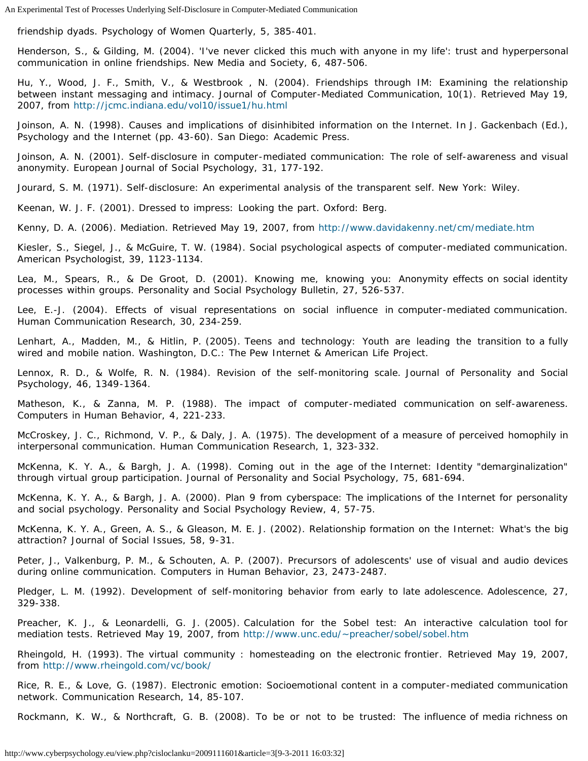friendship dyads. *Psychology of Women Quarterly, 5*, 385-401.

Henderson, S., & Gilding, M. (2004). 'I've never clicked this much with anyone in my life': trust and hyperpersonal communication in online friendships. *New Media and Society, 6*, 487-506.

Hu, Y., Wood, J. F., Smith, V., & Westbrook , N. (2004). Friendships through IM: Examining the relationship between instant messaging and intimacy. *Journal of Computer-Mediated Communication, 10(1)*. Retrieved May 19, 2007, from <http://jcmc.indiana.edu/vol10/issue1/hu.html>

Joinson, A. N. (1998). Causes and implications of disinhibited information on the Internet. In J. Gackenbach (Ed.), *Psychology and the Internet* (pp. 43-60). San Diego: Academic Press.

Joinson, A. N. (2001). Self-disclosure in computer-mediated communication: The role of self-awareness and visual anonymity. *European Journal of Social Psychology, 31*, 177-192.

Jourard, S. M. (1971). *Self-disclosure: An experimental analysis of the transparent self*. New York: Wiley.

Keenan, W. J. F. (2001). *Dressed to impress: Looking the part*. Oxford: Berg.

Kenny, D. A. (2006). *Mediation*. Retrieved May 19, 2007, from <http://www.davidakenny.net/cm/mediate.htm>

Kiesler, S., Siegel, J., & McGuire, T. W. (1984). Social psychological aspects of computer-mediated communication. *American Psychologist, 39*, 1123-1134.

Lea, M., Spears, R., & De Groot, D. (2001). Knowing me, knowing you: Anonymity effects on social identity processes within groups. *Personality and Social Psychology Bulletin, 27*, 526-537.

Lee, E.-J. (2004). Effects of visual representations on social influence in computer-mediated communication. *Human Communication Research, 30*, 234-259.

Lenhart, A., Madden, M., & Hitlin, P. (2005). *Teens and technology: Youth are leading the transition to a fully wired and mobile nation*. Washington, D.C.: The Pew Internet & American Life Project.

Lennox, R. D., & Wolfe, R. N. (1984). Revision of the self-monitoring scale. *Journal of Personality and Social Psychology, 46*, 1349-1364.

Matheson, K., & Zanna, M. P. (1988). The impact of computer-mediated communication on self-awareness. *Computers in Human Behavior, 4*, 221-233.

McCroskey, J. C., Richmond, V. P., & Daly, J. A. (1975). The development of a measure of perceived homophily in interpersonal communication. *Human Communication Research, 1*, 323-332.

McKenna, K. Y. A., & Bargh, J. A. (1998). Coming out in the age of the Internet: Identity "demarginalization" through virtual group participation. *Journal of Personality and Social Psychology, 75*, 681-694.

McKenna, K. Y. A., & Bargh, J. A. (2000). Plan 9 from cyberspace: The implications of the Internet for personality and social psychology. *Personality and Social Psychology Review, 4*, 57-75.

McKenna, K. Y. A., Green, A. S., & Gleason, M. E. J. (2002). Relationship formation on the Internet: What's the big attraction? *Journal of Social Issues, 58*, 9-31.

Peter, J., Valkenburg, P. M., & Schouten, A. P. (2007). Precursors of adolescents' use of visual and audio devices during online communication. *Computers in Human Behavior, 23*, 2473-2487.

Pledger, L. M. (1992). Development of self-monitoring behavior from early to late adolescence. *Adolescence, 27*, 329-338.

Preacher, K. J., & Leonardelli, G. J. (2005). *Calculation for the Sobel test: An interactive calculation tool for mediation tests*. Retrieved May 19, 2007, from<http://www.unc.edu/~preacher/sobel/sobel.htm>

Rheingold, H. (1993). *The virtual community : homesteading on the electronic frontier*. Retrieved May 19, 2007, from <http://www.rheingold.com/vc/book/>

Rice, R. E., & Love, G. (1987). Electronic emotion: Socioemotional content in a computer-mediated communication network. *Communication Research, 14*, 85-107.

Rockmann, K. W., & Northcraft, G. B. (2008). To be or not to be trusted: The influence of media richness on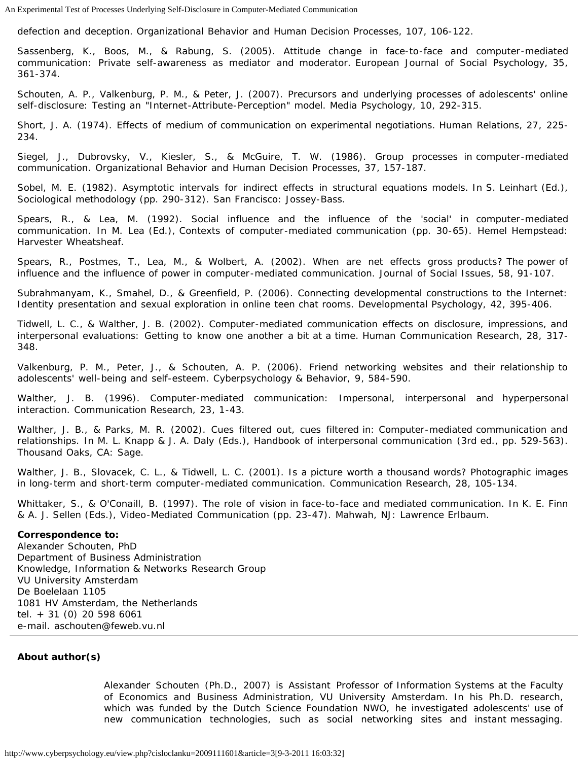defection and deception. *Organizational Behavior and Human Decision Processes, 107*, 106-122.

Sassenberg, K., Boos, M., & Rabung, S. (2005). Attitude change in face-to-face and computer-mediated communication: Private self-awareness as mediator and moderator. *European Journal of Social Psychology, 35*, 361-374.

Schouten, A. P., Valkenburg, P. M., & Peter, J. (2007). Precursors and underlying processes of adolescents' online self-disclosure: Testing an "Internet-Attribute-Perception" model. *Media Psychology, 10*, 292-315.

Short, J. A. (1974). Effects of medium of communication on experimental negotiations. *Human Relations, 27*, 225- 234.

Siegel, J., Dubrovsky, V., Kiesler, S., & McGuire, T. W. (1986). Group processes in computer-mediated communication. *Organizational Behavior and Human Decision Processes, 37*, 157-187.

Sobel, M. E. (1982). Asymptotic intervals for indirect effects in structural equations models. In S. Leinhart (Ed.), *Sociological methodology* (pp. 290-312). San Francisco: Jossey-Bass.

Spears, R., & Lea, M. (1992). Social influence and the influence of the 'social' in computer-mediated communication. In M. Lea (Ed.), *Contexts of computer-mediated communication* (pp. 30-65). Hemel Hempstead: Harvester Wheatsheaf.

Spears, R., Postmes, T., Lea, M., & Wolbert, A. (2002). When are net effects gross products? The power of influence and the influence of power in computer-mediated communication. *Journal of Social Issues, 58*, 91-107.

Subrahmanyam, K., Smahel, D., & Greenfield, P. (2006). Connecting developmental constructions to the Internet: Identity presentation and sexual exploration in online teen chat rooms. *Developmental Psychology, 42*, 395-406.

Tidwell, L. C., & Walther, J. B. (2002). Computer-mediated communication effects on disclosure, impressions, and interpersonal evaluations: Getting to know one another a bit at a time. *Human Communication Research, 28*, 317- 348.

Valkenburg, P. M., Peter, J., & Schouten, A. P. (2006). Friend networking websites and their relationship to adolescents' well-being and self-esteem. *Cyberpsychology & Behavior, 9*, 584-590.

Walther, J. B. (1996). Computer-mediated communication: Impersonal, interpersonal and hyperpersonal interaction. *Communication Research, 23*, 1-43.

Walther, J. B., & Parks, M. R. (2002). Cues filtered out, cues filtered in: Computer-mediated communication and relationships. In M. L. Knapp & J. A. Daly (Eds.), *Handbook of interpersonal communication* (3rd ed., pp. 529-563). Thousand Oaks, CA: Sage.

Walther, J. B., Slovacek, C. L., & Tidwell, L. C. (2001). Is a picture worth a thousand words? Photographic images in long-term and short-term computer-mediated communication. *Communication Research, 28*, 105-134.

Whittaker, S., & O'Conaill, B. (1997). The role of vision in face-to-face and mediated communication. In K. E. Finn & A. J. Sellen (Eds.), *Video-Mediated Communication* (pp. 23-47). Mahwah, NJ: Lawrence Erlbaum.

#### **Correspondence to:**

Alexander Schouten, PhD Department of Business Administration Knowledge, Information & Networks Research Group VU University Amsterdam De Boelelaan 1105 1081 HV Amsterdam, the Netherlands tel. + 31 (0) 20 598 6061 e-mail. aschouten@feweb.vu.nl

#### <span id="page-14-0"></span>**About author(s)**

Alexander Schouten (Ph.D., 2007) is Assistant Professor of Information Systems at the Faculty of Economics and Business Administration, VU University Amsterdam. In his Ph.D. research, which was funded by the Dutch Science Foundation NWO, he investigated adolescents' use of new communication technologies, such as social networking sites and instant messaging.